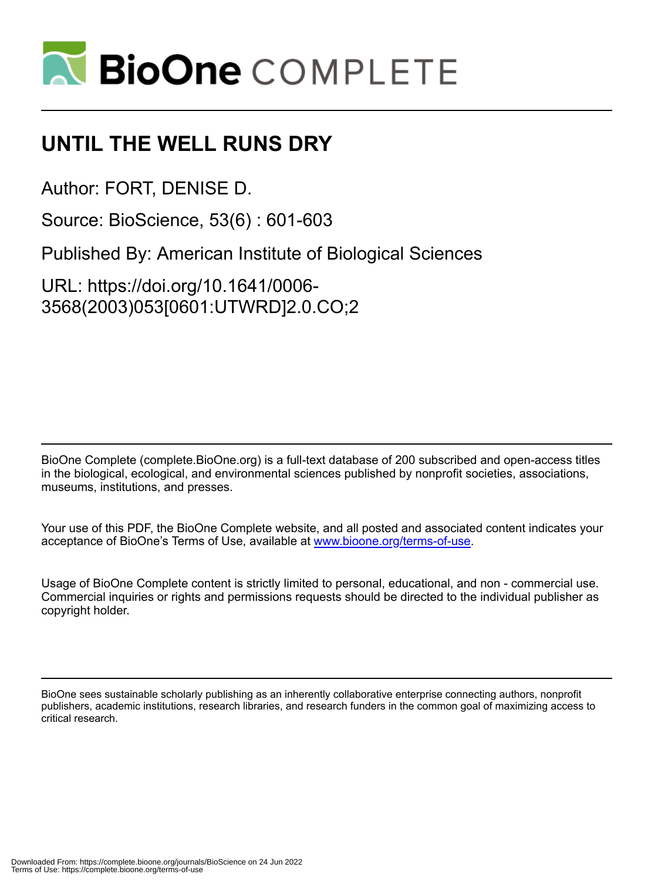

# **UNTIL THE WELL RUNS DRY**

Author: FORT, DENISE D.

Source: BioScience, 53(6) : 601-603

Published By: American Institute of Biological Sciences

URL: https://doi.org/10.1641/0006- 3568(2003)053[0601:UTWRD]2.0.CO;2

BioOne Complete (complete.BioOne.org) is a full-text database of 200 subscribed and open-access titles in the biological, ecological, and environmental sciences published by nonprofit societies, associations, museums, institutions, and presses.

Your use of this PDF, the BioOne Complete website, and all posted and associated content indicates your acceptance of BioOne's Terms of Use, available at www.bioone.org/terms-of-use.

Usage of BioOne Complete content is strictly limited to personal, educational, and non - commercial use. Commercial inquiries or rights and permissions requests should be directed to the individual publisher as copyright holder.

BioOne sees sustainable scholarly publishing as an inherently collaborative enterprise connecting authors, nonprofit publishers, academic institutions, research libraries, and research funders in the common goal of maximizing access to critical research.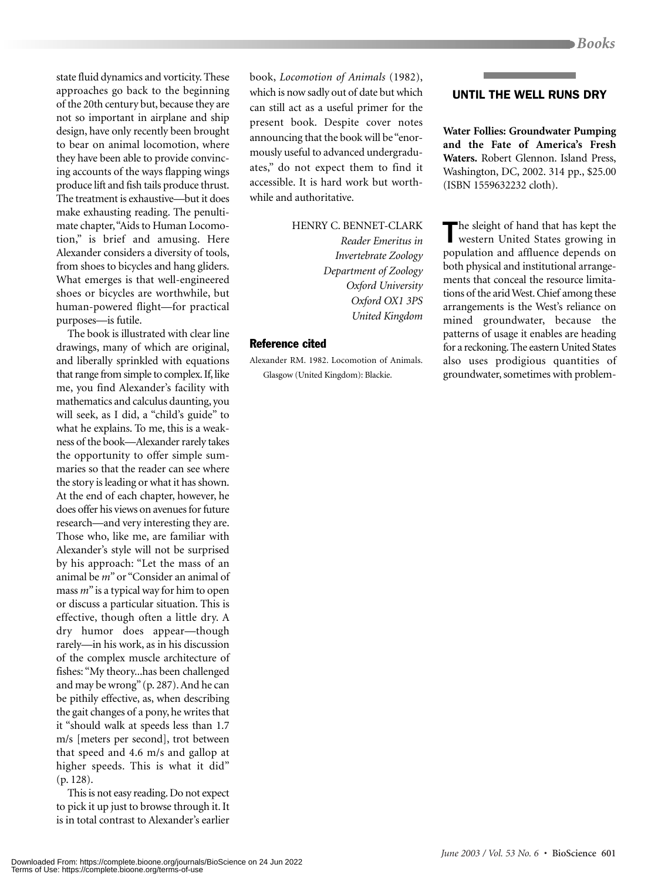state fluid dynamics and vorticity. These approaches go back to the beginning of the 20th century but, because they are not so important in airplane and ship design, have only recently been brought to bear on animal locomotion, where they have been able to provide convincing accounts of the ways flapping wings produce lift and fish tails produce thrust. The treatment is exhaustive—but it does make exhausting reading. The penultimate chapter,"Aids to Human Locomotion," is brief and amusing. Here Alexander considers a diversity of tools, from shoes to bicycles and hang gliders. What emerges is that well-engineered shoes or bicycles are worthwhile, but human-powered flight—for practical purposes—is futile.

The book is illustrated with clear line drawings, many of which are original, and liberally sprinkled with equations that range from simple to complex. If, like me, you find Alexander's facility with mathematics and calculus daunting, you will seek, as I did, a "child's guide" to what he explains. To me, this is a weakness of the book—Alexander rarely takes the opportunity to offer simple summaries so that the reader can see where the story is leading or what it has shown. At the end of each chapter, however, he does offer his views on avenues for future research—and very interesting they are. Those who, like me, are familiar with Alexander's style will not be surprised by his approach: "Let the mass of an animal be *m"* or "Consider an animal of mass *m"* is a typical way for him to open or discuss a particular situation. This is effective, though often a little dry. A dry humor does appear—though rarely—in his work, as in his discussion of the complex muscle architecture of fishes: "My theory...has been challenged and may be wrong" (p. 287). And he can be pithily effective, as, when describing the gait changes of a pony, he writes that it "should walk at speeds less than 1.7 m/s [meters per second], trot between that speed and 4.6 m/s and gallop at higher speeds. This is what it did" (p. 128).

This is not easy reading. Do not expect to pick it up just to browse through it. It is in total contrast to Alexander's earlier book, *Locomotion of Animals* (1982), which is now sadly out of date but which can still act as a useful primer for the present book. Despite cover notes announcing that the book will be "enormously useful to advanced undergraduates," do not expect them to find it accessible. It is hard work but worthwhile and authoritative.

> HENRY C. BENNET-CLARK *Reader Emeritus in Invertebrate Zoology Department of Zoology Oxford University Oxford OX1 3PS United Kingdom*

#### Reference cited

Alexander RM. 1982. Locomotion of Animals. Glasgow (United Kingdom): Blackie.

### UNTIL THE WELL RUNS DRY

**Water Follies: Groundwater Pumping and the Fate of America's Fresh Waters.** Robert Glennon. Island Press, Washington, DC, 2002. 314 pp., \$25.00 (ISBN 1559632232 cloth).

The sleight of hand that has kept the<br>western United States growing in population and affluence depends on both physical and institutional arrangements that conceal the resource limitations of the arid West. Chief among these arrangements is the West's reliance on mined groundwater, because the patterns of usage it enables are heading for a reckoning. The eastern United States also uses prodigious quantities of groundwater, sometimes with problem-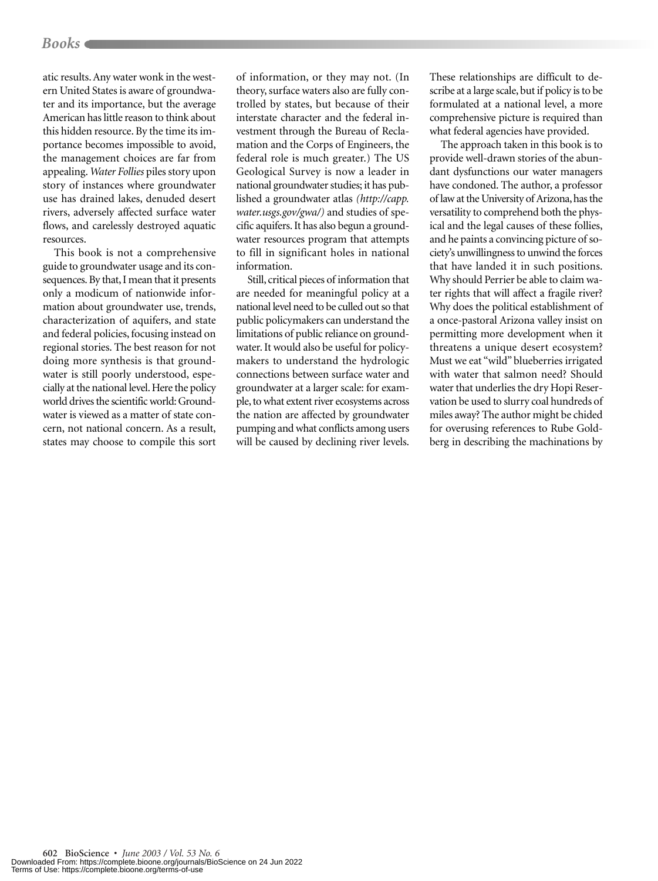## *Books*

atic results. Any water wonk in the western United States is aware of groundwater and its importance, but the average American has little reason to think about this hidden resource. By the time its importance becomes impossible to avoid, the management choices are far from appealing.*Water Follies* piles story upon story of instances where groundwater use has drained lakes, denuded desert rivers, adversely affected surface water flows, and carelessly destroyed aquatic resources.

This book is not a comprehensive guide to groundwater usage and its consequences. By that, I mean that it presents only a modicum of nationwide information about groundwater use, trends, characterization of aquifers, and state and federal policies, focusing instead on regional stories. The best reason for not doing more synthesis is that groundwater is still poorly understood, especially at the national level. Here the policy world drives the scientific world: Groundwater is viewed as a matter of state concern, not national concern. As a result, states may choose to compile this sort of information, or they may not. (In theory, surface waters also are fully controlled by states, but because of their interstate character and the federal investment through the Bureau of Reclamation and the Corps of Engineers, the federal role is much greater.) The US Geological Survey is now a leader in national groundwater studies; it has published a groundwater atlas *(http://capp. water.usgs.gov/gwa/)* and studies of specific aquifers. It has also begun a groundwater resources program that attempts to fill in significant holes in national information.

Still, critical pieces of information that are needed for meaningful policy at a national level need to be culled out so that public policymakers can understand the limitations of public reliance on groundwater. It would also be useful for policymakers to understand the hydrologic connections between surface water and groundwater at a larger scale: for example, to what extent river ecosystems across the nation are affected by groundwater pumping and what conflicts among users will be caused by declining river levels.

These relationships are difficult to describe at a large scale, but if policy is to be formulated at a national level, a more comprehensive picture is required than what federal agencies have provided.

The approach taken in this book is to provide well-drawn stories of the abundant dysfunctions our water managers have condoned. The author, a professor of law at the University of Arizona, has the versatility to comprehend both the physical and the legal causes of these follies, and he paints a convincing picture of society's unwillingness to unwind the forces that have landed it in such positions. Why should Perrier be able to claim water rights that will affect a fragile river? Why does the political establishment of a once-pastoral Arizona valley insist on permitting more development when it threatens a unique desert ecosystem? Must we eat "wild" blueberries irrigated with water that salmon need? Should water that underlies the dry Hopi Reservation be used to slurry coal hundreds of miles away? The author might be chided for overusing references to Rube Goldberg in describing the machinations by